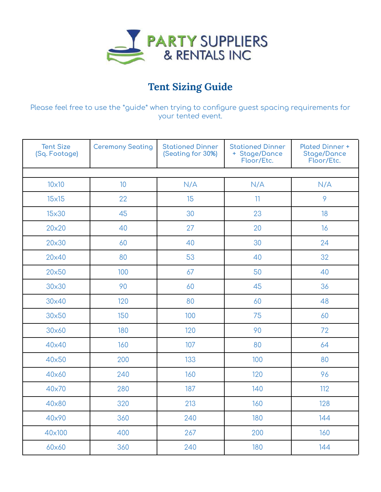

## **Tent Sizing Guide**

Please feel free to use the \*guide\* when trying to configure guest spacing requirements for your tented event.

| <b>Tent Size</b><br>(Sq. Footage) | <b>Ceremony Seating</b> | <b>Stationed Dinner</b><br>(Seating for 30%) | <b>Stationed Dinner</b><br>+ Stage/Dance<br>Floor/Etc. | <b>Plated Dinner +</b><br><b>Stage/Dance</b><br>Floor/Etc. |  |  |  |
|-----------------------------------|-------------------------|----------------------------------------------|--------------------------------------------------------|------------------------------------------------------------|--|--|--|
|                                   |                         |                                              |                                                        |                                                            |  |  |  |
| $10\times10$                      | 10 <sup>°</sup>         | N/A                                          | N/A                                                    | N/A                                                        |  |  |  |
| $15\times 15$                     | 22                      | 15                                           | 11                                                     | 9                                                          |  |  |  |
| 15x30                             | 45                      | 30                                           | 23                                                     | 18                                                         |  |  |  |
| 20×20                             | 40                      | 27                                           | 20                                                     | 16                                                         |  |  |  |
| 20×30                             | 60                      | 40                                           | 30                                                     | 24                                                         |  |  |  |
| 20×40                             | 80                      | 53                                           | 40                                                     | 32                                                         |  |  |  |
| 20×50                             | 100                     | 67                                           | 50                                                     | 40                                                         |  |  |  |
| 30×30                             | 90                      | 60                                           | 45                                                     | 36                                                         |  |  |  |
| 30×40                             | 120                     | 80                                           | 60                                                     | 48                                                         |  |  |  |
| 30×50                             | 150                     | 100                                          | 75                                                     | 60                                                         |  |  |  |
| 30×60                             | 180                     | 120                                          | 90                                                     | 72                                                         |  |  |  |
| 40×40                             | 160                     | 107                                          | 80                                                     | 64                                                         |  |  |  |
| 40×50                             | 200                     | 133                                          | 100                                                    | 80                                                         |  |  |  |
| 40×60                             | 240                     | 160                                          | 120                                                    | 96                                                         |  |  |  |
| 40×70                             | 280                     | 187                                          | 140                                                    | 112                                                        |  |  |  |
| 40×80                             | 320                     | 213                                          | 160                                                    | 128                                                        |  |  |  |
| 40×90                             | 360                     | 240                                          | 180                                                    | 144                                                        |  |  |  |
| 40×100                            | 400                     | 267                                          | 200                                                    | 160                                                        |  |  |  |
| 60x60                             | 360                     | 240                                          | 180                                                    | 144                                                        |  |  |  |